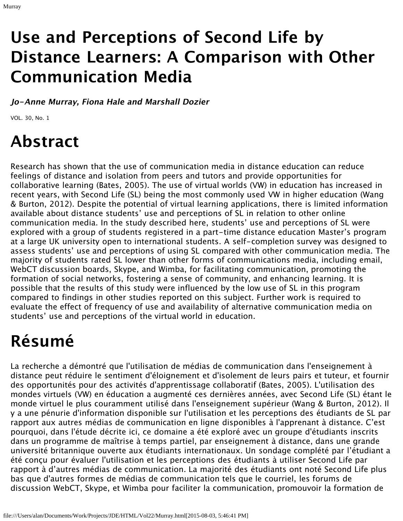## **Use and Perceptions of Second Life by Distance Learners: A Comparison with Other Communication Media**

**Jo-Anne Murray, Fiona Hale and Marshall Dozier**

VOL. 30, No. 1

# **Abstract**

Research has shown that the use of communication media in distance education can reduce feelings of distance and isolation from peers and tutors and provide opportunities for collaborative learning (Bates, 2005). The use of virtual worlds (VW) in education has increased in recent years, with Second Life (SL) being the most commonly used VW in higher education (Wang & Burton, 2012). Despite the potential of virtual learning applications, there is limited information available about distance students' use and perceptions of SL in relation to other online communication media. In the study described here, students' use and perceptions of SL were explored with a group of students registered in a part-time distance education Master's program at a large UK university open to international students. A self-completion survey was designed to assess students' use and perceptions of using SL compared with other communication media. The majority of students rated SL lower than other forms of communications media, including email, WebCT discussion boards, Skype, and Wimba, for facilitating communication, promoting the formation of social networks, fostering a sense of community, and enhancing learning. It is possible that the results of this study were influenced by the low use of SL in this program compared to findings in other studies reported on this subject. Further work is required to evaluate the effect of frequency of use and availability of alternative communication media on students' use and perceptions of the virtual world in education.

# **Résumé**

La recherche a démontré que l'utilisation de médias de communication dans l'enseignement à distance peut réduire le sentiment d'éloignement et d'isolement de leurs pairs et tuteur, et fournir des opportunités pour des activités d'apprentissage collaboratif (Bates, 2005). L'utilisation des mondes virtuels (VW) en éducation a augmenté ces dernières années, avec Second Life (SL) étant le monde virtuel le plus couramment utilisé dans l'enseignement supérieur (Wang & Burton, 2012). Il y a une pénurie d'information disponible sur l'utilisation et les perceptions des étudiants de SL par rapport aux autres médias de communication en ligne disponibles à l'apprenant à distance. C'est pourquoi, dans l'étude décrite ici, ce domaine a été exploré avec un groupe d'étudiants inscrits dans un programme de maîtrise à temps partiel, par enseignement à distance, dans une grande université britannique ouverte aux étudiants internationaux. Un sondage complété par l'étudiant a été conçu pour évaluer l'utilisation et les perceptions des étudiants à utiliser Second Life par rapport à d'autres médias de communication. La majorité des étudiants ont noté Second Life plus bas que d'autres formes de médias de communication tels que le courriel, les forums de discussion WebCT, Skype, et Wimba pour faciliter la communication, promouvoir la formation de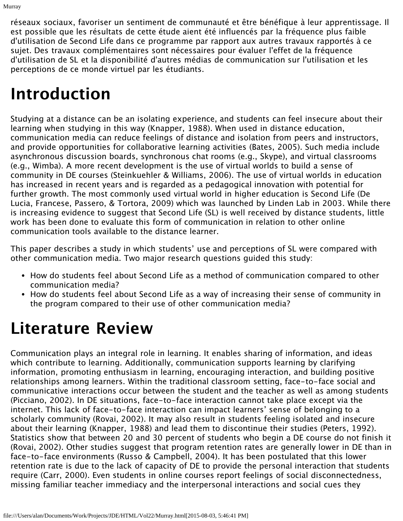réseaux sociaux, favoriser un sentiment de communauté et être bénéfique à leur apprentissage. Il est possible que les résultats de cette étude aient été influencés par la fréquence plus faible d'utilisation de Second Life dans ce programme par rapport aux autres travaux rapportés à ce sujet. Des travaux complémentaires sont nécessaires pour évaluer l'effet de la fréquence d'utilisation de SL et la disponibilité d'autres médias de communication sur l'utilisation et les perceptions de ce monde virtuel par les étudiants.

### **Introduction**

Studying at a distance can be an isolating experience, and students can feel insecure about their learning when studying in this way (Knapper, 1988). When used in distance education, communication media can reduce feelings of distance and isolation from peers and instructors, and provide opportunities for collaborative learning activities (Bates, 2005). Such media include asynchronous discussion boards, synchronous chat rooms (e.g., Skype), and virtual classrooms (e.g., Wimba). A more recent development is the use of virtual worlds to build a sense of community in DE courses (Steinkuehler & Williams, 2006). The use of virtual worlds in education has increased in recent years and is regarded as a pedagogical innovation with potential for further growth. The most commonly used virtual world in higher education is Second Life (De Lucia, Francese, Passero, & Tortora, 2009) which was launched by Linden Lab in 2003. While there is increasing evidence to suggest that Second Life (SL) is well received by distance students, little work has been done to evaluate this form of communication in relation to other online communication tools available to the distance learner.

This paper describes a study in which students' use and perceptions of SL were compared with other communication media. Two major research questions guided this study:

- How do students feel about Second Life as a method of communication compared to other communication media?
- How do students feel about Second Life as a way of increasing their sense of community in the program compared to their use of other communication media?

# **Literature Review**

Communication plays an integral role in learning. It enables sharing of information, and ideas which contribute to learning. Additionally, communication supports learning by clarifying information, promoting enthusiasm in learning, encouraging interaction, and building positive relationships among learners. Within the traditional classroom setting, face-to-face social and communicative interactions occur between the student and the teacher as well as among students (Picciano, 2002). In DE situations, face-to-face interaction cannot take place except via the internet. This lack of face-to-face interaction can impact learners' sense of belonging to a scholarly community (Rovai, 2002). It may also result in students feeling isolated and insecure about their learning (Knapper, 1988) and lead them to discontinue their studies (Peters, 1992). Statistics show that between 20 and 30 percent of students who begin a DE course do not finish it (Rovai, 2002). Other studies suggest that program retention rates are generally lower in DE than in face-to-face environments (Russo & Campbell, 2004). It has been postulated that this lower retention rate is due to the lack of capacity of DE to provide the personal interaction that students require (Carr, 2000). Even students in online courses report feelings of social disconnectedness, missing familiar teacher immediacy and the interpersonal interactions and social cues they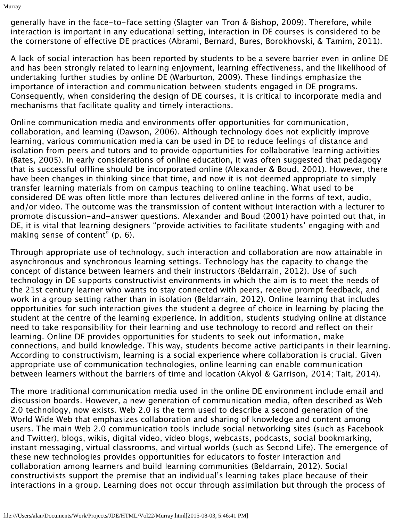Murray

generally have in the face-to-face setting (Slagter van Tron & Bishop, 2009). Therefore, while interaction is important in any educational setting, interaction in DE courses is considered to be the cornerstone of effective DE practices (Abrami, Bernard, Bures, Borokhovski, & Tamim, 2011).

A lack of social interaction has been reported by students to be a severe barrier even in online DE and has been strongly related to learning enjoyment, learning effectiveness, and the likelihood of undertaking further studies by online DE (Warburton, 2009). These findings emphasize the importance of interaction and communication between students engaged in DE programs. Consequently, when considering the design of DE courses, it is critical to incorporate media and mechanisms that facilitate quality and timely interactions.

Online communication media and environments offer opportunities for communication, collaboration, and learning (Dawson, 2006). Although technology does not explicitly improve learning, various communication media can be used in DE to reduce feelings of distance and isolation from peers and tutors and to provide opportunities for collaborative learning activities (Bates, 2005). In early considerations of online education, it was often suggested that pedagogy that is successful offline should be incorporated online (Alexander & Boud, 2001). However, there have been changes in thinking since that time, and now it is not deemed appropriate to simply transfer learning materials from on campus teaching to online teaching. What used to be considered DE was often little more than lectures delivered online in the forms of text, audio, and/or video. The outcome was the transmission of content without interaction with a lecturer to promote discussion-and-answer questions. Alexander and Boud (2001) have pointed out that, in DE, it is vital that learning designers "provide activities to facilitate students' engaging with and making sense of content" (p. 6).

Through appropriate use of technology, such interaction and collaboration are now attainable in asynchronous and synchronous learning settings. Technology has the capacity to change the concept of distance between learners and their instructors (Beldarrain, 2012). Use of such technology in DE supports constructivist environments in which the aim is to meet the needs of the 21st century learner who wants to stay connected with peers, receive prompt feedback, and work in a group setting rather than in isolation (Beldarrain, 2012). Online learning that includes opportunities for such interaction gives the student a degree of choice in learning by placing the student at the centre of the learning experience. In addition, students studying online at distance need to take responsibility for their learning and use technology to record and reflect on their learning. Online DE provides opportunities for students to seek out information, make connections, and build knowledge. This way, students become active participants in their learning. According to constructivism, learning is a social experience where collaboration is crucial. Given appropriate use of communication technologies, online learning can enable communication between learners without the barriers of time and location (Akyol & Garrison, 2014; Tait, 2014).

The more traditional communication media used in the online DE environment include email and discussion boards. However, a new generation of communication media, often described as Web 2.0 technology, now exists. Web 2.0 is the term used to describe a second generation of the World Wide Web that emphasizes collaboration and sharing of knowledge and content among users. The main Web 2.0 communication tools include social networking sites (such as Facebook and Twitter), blogs, wikis, digital video, video blogs, webcasts, podcasts, social bookmarking, instant messaging, virtual classrooms, and virtual worlds (such as Second Life). The emergence of these new technologies provides opportunities for educators to foster interaction and collaboration among learners and build learning communities (Beldarrain, 2012). Social constructivists support the premise that an individual's learning takes place because of their interactions in a group. Learning does not occur through assimilation but through the process of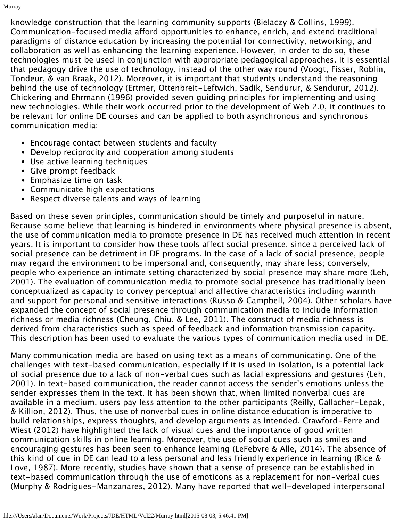knowledge construction that the learning community supports (Bielaczy & Collins, 1999). Communication-focused media afford opportunities to enhance, enrich, and extend traditional paradigms of distance education by increasing the potential for connectivity, networking, and collaboration as well as enhancing the learning experience. However, in order to do so, these technologies must be used in conjunction with appropriate pedagogical approaches. It is essential that pedagogy drive the use of technology, instead of the other way round (Voogt, Fisser, Roblin, Tondeur, & van Braak, 2012). Moreover, it is important that students understand the reasoning behind the use of technology (Ertmer, Ottenbreit-Leftwich, Sadik, Sendurur, & Sendurur, 2012). Chickering and Ehrmann (1996) provided seven guiding principles for implementing and using new technologies. While their work occurred prior to the development of Web 2.0, it continues to be relevant for online DE courses and can be applied to both asynchronous and synchronous communication media:

- Encourage contact between students and faculty
- Develop reciprocity and cooperation among students
- Use active learning techniques
- Give prompt feedback
- Emphasize time on task
- Communicate high expectations
- Respect diverse talents and ways of learning

Based on these seven principles, communication should be timely and purposeful in nature. Because some believe that learning is hindered in environments where physical presence is absent, the use of communication media to promote presence in DE has received much attention in recent years. It is important to consider how these tools affect social presence, since a perceived lack of social presence can be detriment in DE programs. In the case of a lack of social presence, people may regard the environment to be impersonal and, consequently, may share less; conversely, people who experience an intimate setting characterized by social presence may share more (Leh, 2001). The evaluation of communication media to promote social presence has traditionally been conceptualized as capacity to convey perceptual and affective characteristics including warmth and support for personal and sensitive interactions (Russo & Campbell, 2004). Other scholars have expanded the concept of social presence through communication media to include information richness or media richness (Cheung, Chiu, & Lee, 2011). The construct of media richness is derived from characteristics such as speed of feedback and information transmission capacity. This description has been used to evaluate the various types of communication media used in DE.

Many communication media are based on using text as a means of communicating. One of the challenges with text-based communication, especially if it is used in isolation, is a potential lack of social presence due to a lack of non-verbal cues such as facial expressions and gestures (Leh, 2001). In text-based communication, the reader cannot access the sender's emotions unless the sender expresses them in the text. It has been shown that, when limited nonverbal cues are available in a medium, users pay less attention to the other participants (Reilly, Gallacher-Lepak, & Killion, 2012). Thus, the use of nonverbal cues in online distance education is imperative to build relationships, express thoughts, and develop arguments as intended. Crawford-Ferre and Wiest (2012) have highlighted the lack of visual cues and the importance of good written communication skills in online learning. Moreover, the use of social cues such as smiles and encouraging gestures has been seen to enhance learning (LeFebvre & Alle, 2014). The absence of this kind of cue in DE can lead to a less personal and less friendly experience in learning (Rice & Love, 1987). More recently, studies have shown that a sense of presence can be established in text-based communication through the use of emoticons as a replacement for non-verbal cues (Murphy & Rodrigues-Manzanares, 2012). Many have reported that well-developed interpersonal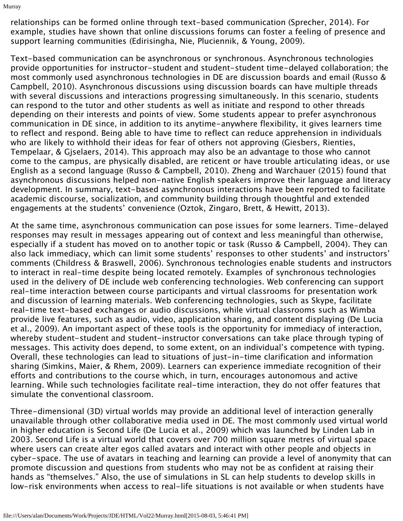Murray

relationships can be formed online through text-based communication (Sprecher, 2014). For example, studies have shown that online discussions forums can foster a feeling of presence and support learning communities (Edirisingha, Nie, Pluciennik, & Young, 2009).

Text-based communication can be asynchronous or synchronous. Asynchronous technologies provide opportunities for instructor-student and student-student time-delayed collaboration; the most commonly used asynchronous technologies in DE are discussion boards and email (Russo & Campbell, 2010). Asynchronous discussions using discussion boards can have multiple threads with several discussions and interactions progressing simultaneously. In this scenario, students can respond to the tutor and other students as well as initiate and respond to other threads depending on their interests and points of view. Some students appear to prefer asynchronous communication in DE since, in addition to its anytime-anywhere flexibility, it gives learners time to reflect and respond. Being able to have time to reflect can reduce apprehension in individuals who are likely to withhold their ideas for fear of others not approving (Giesbers, Rienties, Tempelaar, & Gjselaers, 2014). This approach may also be an advantage to those who cannot come to the campus, are physically disabled, are reticent or have trouble articulating ideas, or use English as a second language (Russo & Campbell, 2010). Zheng and Warchauer (2015) found that asynchronous discussions helped non-native English speakers improve their language and literacy development. In summary, text-based asynchronous interactions have been reported to facilitate academic discourse, socialization, and community building through thoughtful and extended engagements at the students' convenience (Oztok, Zingaro, Brett, & Hewitt, 2013).

At the same time, asynchronous communication can pose issues for some learners. Time-delayed responses may result in messages appearing out of context and less meaningful than otherwise, especially if a student has moved on to another topic or task (Russo & Campbell, 2004). They can also lack immediacy, which can limit some students' responses to other students' and instructors' comments (Childress & Braswell, 2006). Synchronous technologies enable students and instructors to interact in real-time despite being located remotely. Examples of synchronous technologies used in the delivery of DE include web conferencing technologies. Web conferencing can support real-time interaction between course participants and virtual classrooms for presentation work and discussion of learning materials. Web conferencing technologies, such as Skype, facilitate real-time text-based exchanges or audio discussions, while virtual classrooms such as Wimba provide live features, such as audio, video, application sharing, and content displaying (De Lucia et al., 2009). An important aspect of these tools is the opportunity for immediacy of interaction, whereby student-student and student-instructor conversations can take place through typing of messages. This activity does depend, to some extent, on an individual's competence with typing. Overall, these technologies can lead to situations of just-in-time clarification and information sharing (Simkins, Maier, & Rhem, 2009). Learners can experience immediate recognition of their efforts and contributions to the course which, in turn, encourages autonomous and active learning. While such technologies facilitate real-time interaction, they do not offer features that simulate the conventional classroom.

Three-dimensional (3D) virtual worlds may provide an additional level of interaction generally unavailable through other collaborative media used in DE. The most commonly used virtual world in higher education is Second Life (De Lucia et al., 2009) which was launched by Linden Lab in 2003. Second Life is a virtual world that covers over 700 million square metres of virtual space where users can create alter egos called avatars and interact with other people and objects in cyber-space. The use of avatars in teaching and learning can provide a level of anonymity that can promote discussion and questions from students who may not be as confident at raising their hands as "themselves." Also, the use of simulations in SL can help students to develop skills in low-risk environments when access to real-life situations is not available or when students have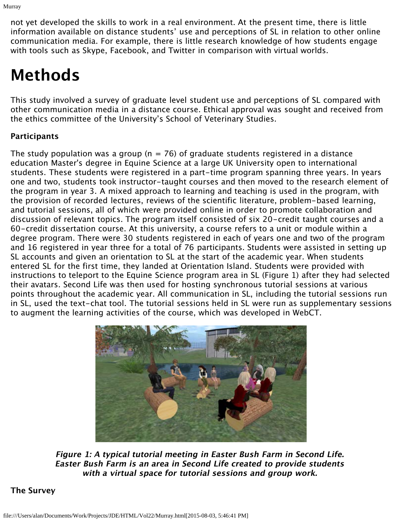not yet developed the skills to work in a real environment. At the present time, there is little information available on distance students' use and perceptions of SL in relation to other online communication media. For example, there is little research knowledge of how students engage with tools such as Skype, Facebook, and Twitter in comparison with virtual worlds.

## **Methods**

This study involved a survey of graduate level student use and perceptions of SL compared with other communication media in a distance course. Ethical approval was sought and received from the ethics committee of the University's School of Veterinary Studies.

#### **Participants**

The study population was a group (n = 76) of graduate students registered in a distance education Master's degree in Equine Science at a large UK University open to international students. These students were registered in a part-time program spanning three years. In years one and two, students took instructor-taught courses and then moved to the research element of the program in year 3. A mixed approach to learning and teaching is used in the program, with the provision of recorded lectures, reviews of the scientific literature, problem-based learning, and tutorial sessions, all of which were provided online in order to promote collaboration and discussion of relevant topics. The program itself consisted of six 20-credit taught courses and a 60-credit dissertation course. At this university, a course refers to a unit or module within a degree program. There were 30 students registered in each of years one and two of the program and 16 registered in year three for a total of 76 participants. Students were assisted in setting up SL accounts and given an orientation to SL at the start of the academic year. When students entered SL for the first time, they landed at Orientation Island. Students were provided with instructions to teleport to the Equine Science program area in SL (Figure 1) after they had selected their avatars. Second Life was then used for hosting synchronous tutorial sessions at various points throughout the academic year. All communication in SL, including the tutorial sessions run in SL, used the text-chat tool. The tutorial sessions held in SL were run as supplementary sessions to augment the learning activities of the course, which was developed in WebCT.



**Figure 1: A typical tutorial meeting in Easter Bush Farm in Second Life. Easter Bush Farm is an area in Second Life created to provide students with a virtual space for tutorial sessions and group work.** 

#### **The Survey**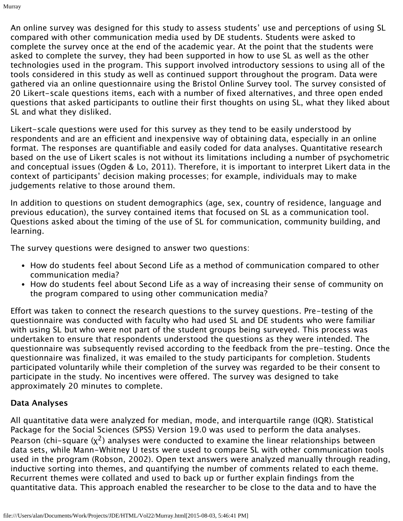An online survey was designed for this study to assess students' use and perceptions of using SL compared with other communication media used by DE students. Students were asked to complete the survey once at the end of the academic year. At the point that the students were asked to complete the survey, they had been supported in how to use SL as well as the other technologies used in the program. This support involved introductory sessions to using all of the tools considered in this study as well as continued support throughout the program. Data were gathered via an online questionnaire using the Bristol Online Survey tool. The survey consisted of 20 Likert-scale questions items, each with a number of fixed alternatives, and three open ended questions that asked participants to outline their first thoughts on using SL, what they liked about SL and what they disliked.

Likert-scale questions were used for this survey as they tend to be easily understood by respondents and are an efficient and inexpensive way of obtaining data, especially in an online format. The responses are quantifiable and easily coded for data analyses. Quantitative research based on the use of Likert scales is not without its limitations including a number of psychometric and conceptual issues (Ogden & Lo, 2011). Therefore, it is important to interpret Likert data in the context of participants' decision making processes; for example, individuals may to make judgements relative to those around them.

In addition to questions on student demographics (age, sex, country of residence, language and previous education), the survey contained items that focused on SL as a communication tool. Questions asked about the timing of the use of SL for communication, community building, and learning.

The survey questions were designed to answer two questions:

- How do students feel about Second Life as a method of communication compared to other communication media?
- How do students feel about Second Life as a way of increasing their sense of community on the program compared to using other communication media?

Effort was taken to connect the research questions to the survey questions. Pre-testing of the questionnaire was conducted with faculty who had used SL and DE students who were familiar with using SL but who were not part of the student groups being surveyed. This process was undertaken to ensure that respondents understood the questions as they were intended. The questionnaire was subsequently revised according to the feedback from the pre-testing. Once the questionnaire was finalized, it was emailed to the study participants for completion. Students participated voluntarily while their completion of the survey was regarded to be their consent to participate in the study. No incentives were offered. The survey was designed to take approximately 20 minutes to complete.

#### **Data Analyses**

All quantitative data were analyzed for median, mode, and interquartile range (IQR). Statistical Package for the Social Sciences (SPSS) Version 19.0 was used to perform the data analyses. Pearson (chi-square  $(x^2)$  analyses were conducted to examine the linear relationships between data sets, while Mann-Whitney U tests were used to compare SL with other communication tools used in the program (Robson, 2002). Open text answers were analyzed manually through reading, inductive sorting into themes, and quantifying the number of comments related to each theme. Recurrent themes were collated and used to back up or further explain findings from the quantitative data. This approach enabled the researcher to be close to the data and to have the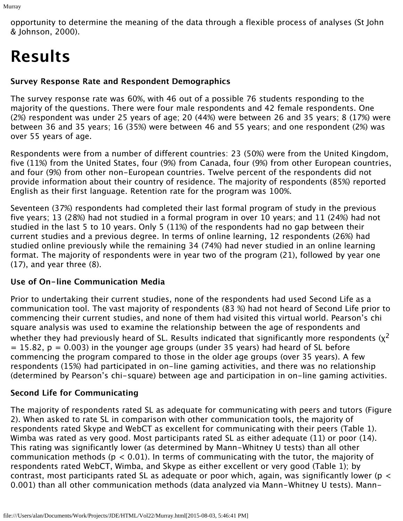opportunity to determine the meaning of the data through a flexible process of analyses (St John & Johnson, 2000).

# **Results**

#### **Survey Response Rate and Respondent Demographics**

The survey response rate was 60%, with 46 out of a possible 76 students responding to the majority of the questions. There were four male respondents and 42 female respondents. One (2%) respondent was under 25 years of age; 20 (44%) were between 26 and 35 years; 8 (17%) were between 36 and 35 years; 16 (35%) were between 46 and 55 years; and one respondent (2%) was over 55 years of age.

Respondents were from a number of different countries: 23 (50%) were from the United Kingdom, five (11%) from the United States, four (9%) from Canada, four (9%) from other European countries, and four (9%) from other non-European countries. Twelve percent of the respondents did not provide information about their country of residence. The majority of respondents (85%) reported English as their first language. Retention rate for the program was 100%.

Seventeen (37%) respondents had completed their last formal program of study in the previous five years; 13 (28%) had not studied in a formal program in over 10 years; and 11 (24%) had not studied in the last 5 to 10 years. Only 5 (11%) of the respondents had no gap between their current studies and a previous degree. In terms of online learning, 12 respondents (26%) had studied online previously while the remaining 34 (74%) had never studied in an online learning format. The majority of respondents were in year two of the program (21), followed by year one  $(17)$ , and year three  $(8)$ .

#### **Use of On-line Communication Media**

Prior to undertaking their current studies, none of the respondents had used Second Life as a communication tool. The vast majority of respondents (83 %) had not heard of Second Life prior to commencing their current studies, and none of them had visited this virtual world. Pearson's chi square analysis was used to examine the relationship between the age of respondents and whether they had previously heard of SL. Results indicated that significantly more respondents ( $x^2$  $= 15.82$ ,  $p = 0.003$ ) in the younger age groups (under 35 years) had heard of SL before commencing the program compared to those in the older age groups (over 35 years). A few respondents (15%) had participated in on-line gaming activities, and there was no relationship (determined by Pearson's chi-square) between age and participation in on-line gaming activities.

#### **Second Life for Communicating**

The majority of respondents rated SL as adequate for communicating with peers and tutors (Figure 2). When asked to rate SL in comparison with other communication tools, the majority of respondents rated Skype and WebCT as excellent for communicating with their peers (Table 1). Wimba was rated as very good. Most participants rated SL as either adequate (11) or poor (14). This rating was significantly lower (as determined by Mann-Whitney U tests) than all other communication methods ( $p < 0.01$ ). In terms of communicating with the tutor, the majority of respondents rated WebCT, Wimba, and Skype as either excellent or very good (Table 1); by contrast, most participants rated SL as adequate or poor which, again, was significantly lower ( $p <$ 0.001) than all other communication methods (data analyzed via Mann-Whitney U tests). Mann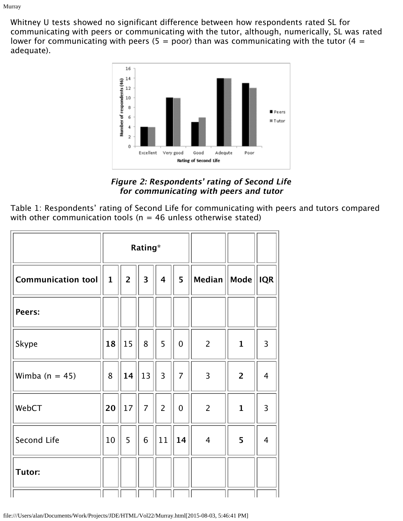Whitney U tests showed no significant difference between how respondents rated SL for communicating with peers or communicating with the tutor, although, numerically, SL was rated lower for communicating with peers (5 = poor) than was communicating with the tutor (4 = adequate).



**Figure 2: Respondents' rating of Second Life for communicating with peers and tutor**

Table 1: Respondents' rating of Second Life for communicating with peers and tutors compared with other communication tools ( $n = 46$  unless otherwise stated)

| $\mathbf{1}$ | $\overline{2}$ |                |                         |                |                |                |                |
|--------------|----------------|----------------|-------------------------|----------------|----------------|----------------|----------------|
|              |                | 3              | $\overline{\mathbf{4}}$ | 5 <sup>5</sup> | <b>Median</b>  | $ $ Mode $ $   | <b>IQR</b>     |
|              |                |                |                         |                |                |                |                |
| 18           | 15             | 8              | 5                       | $\mathbf 0$    | $\overline{2}$ | $\mathbf{1}$   | 3              |
| 8            | 14             | 13             | $\overline{3}$          | $\overline{7}$ | 3              | $\overline{2}$ | $\overline{4}$ |
| 20           | 17             | $\overline{7}$ | $\overline{2}$          | $\overline{0}$ | $\overline{2}$ | $\mathbf{1}$   | 3              |
| 10           | 5              | 6              | 11                      | 14             | $\overline{4}$ | 5              | $\overline{4}$ |
|              |                |                |                         |                |                |                |                |
|              |                |                |                         |                |                |                |                |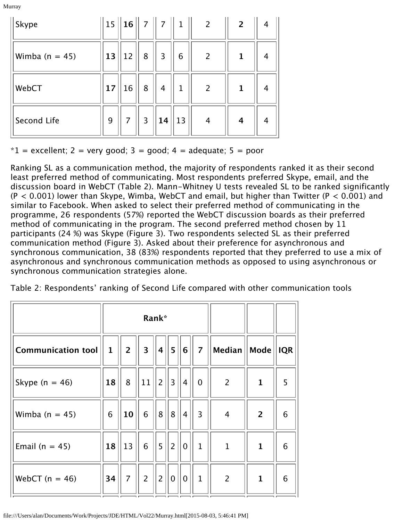Murray

| $\ $ Skype     |    |                |                |                |              | $\ 15\ $ 16 $\ $ 7 $\ $ 7 $\ $ 1 $\ $ 2 | $\overline{\mathbf{c}}$ | $\overline{4}$ |
|----------------|----|----------------|----------------|----------------|--------------|-----------------------------------------|-------------------------|----------------|
| Wimba (n = 45) | 13 | 12             | $8\,$          | $\overline{3}$ | 6            | $\overline{2}$                          | 1                       | 4              |
| WebCT          | 17 | 16             | $\bf 8$        | $\overline{4}$ | $\mathbf{1}$ | $\overline{2}$                          | $\mathbf{1}$            | 4              |
| Second Life    | 9  | 7 <sup>1</sup> | $\overline{3}$ | 14             | 13           | $\overline{4}$                          | $\overline{\mathbf{4}}$ | 4              |

 $*1$  = excellent; 2 = very good; 3 = good; 4 = adequate; 5 = poor

Ranking SL as a communication method, the majority of respondents ranked it as their second least preferred method of communicating. Most respondents preferred Skype, email, and the discussion board in WebCT (Table 2). Mann-Whitney U tests revealed SL to be ranked significantly  $(P < 0.001)$  lower than Skype, Wimba, WebCT and email, but higher than Twitter (P  $< 0.001$ ) and similar to Facebook. When asked to select their preferred method of communicating in the programme, 26 respondents (57%) reported the WebCT discussion boards as their preferred method of communicating in the program. The second preferred method chosen by 11 participants (24 %) was Skype (Figure 3). Two respondents selected SL as their preferred communication method (Figure 3). Asked about their preference for asynchronous and synchronous communication, 38 (83%) respondents reported that they preferred to use a mix of asynchronous and synchronous communication methods as opposed to using asynchronous or synchronous communication strategies alone.

Table 2: Respondents' ranking of Second Life compared with other communication tools

|                    |              |                |                                | Rank*      |                |                |                |                                                                       |                |            |
|--------------------|--------------|----------------|--------------------------------|------------|----------------|----------------|----------------|-----------------------------------------------------------------------|----------------|------------|
| Communication tool | $\mathbf{1}$ | 2 <sup>1</sup> | $3 \parallel 4$                |            | 5              |                |                | $ \boldsymbol{6}   \; \boldsymbol{7}  \,$ $ \boldsymbol{M}$ edian $ $ | $\vert$ Mode   | <b>IQR</b> |
| Skype ( $n = 46$ ) | 18           | 8 <sup>1</sup> | $\vert 11 \vert \vert 2 \vert$ |            | 3              | $ 4\rangle$    | $\overline{0}$ | $\overline{2}$                                                        | $\mathbf{1}$   | 5          |
| Wimba $(n = 45)$   | 6            | 10             | $6\phantom{a}$                 | 8          | 8              | $\overline{4}$ | $\overline{3}$ | $\overline{4}$                                                        | $\overline{2}$ | 6          |
| Email ( $n = 45$ ) | 18           | 13             | $6\overline{6}$                | $\sqrt{5}$ | $\overline{2}$ | $\overline{0}$ | $\mathbf{1}$   | $\mathbf{1}$                                                          | $\mathbf{1}$   | 6          |
| WebCT $(n = 46)$   |              | 34  7  2  2    |                                |            | 0              | 0              | $\parallel$ 1  | $\overline{2}$                                                        | $\mathbf{1}$   | 6          |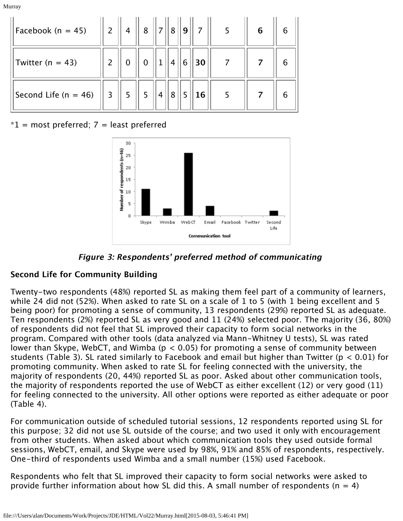Murray

| Facebook (n = 45)      | $\parallel$ 2 $\parallel$ | $\parallel$ 4 | $\parallel$ 8  | 7              |                | 8    9 |    | $\begin{array}{c c} \hline \end{array}$ 7 $\begin{array}{ c c }$ 5 | 6 | 6 |
|------------------------|---------------------------|---------------|----------------|----------------|----------------|--------|----|--------------------------------------------------------------------|---|---|
| Twitter ( $n = 43$ )   |                           | $\mathbf 0$   | $\mathbf 0$    |                | $\overline{4}$ | 6      | 30 |                                                                    |   |   |
| Second Life $(n = 46)$ | $\overline{3}$            | 1.5           | 5 <sup>5</sup> | $\overline{4}$ | 8              |        | 16 |                                                                    |   | 6 |

#### $*1$  = most preferred; 7 = least preferred



**Figure 3: Respondents' preferred method of communicating** 

#### **Second Life for Community Building**

Twenty-two respondents (48%) reported SL as making them feel part of a community of learners, while 24 did not (52%). When asked to rate SL on a scale of 1 to 5 (with 1 being excellent and 5 being poor) for promoting a sense of community, 13 respondents (29%) reported SL as adequate. Ten respondents (2%) reported SL as very good and 11 (24%) selected poor. The majority (36, 80%) of respondents did not feel that SL improved their capacity to form social networks in the program. Compared with other tools (data analyzed via Mann-Whitney U tests), SL was rated lower than Skype, WebCT, and Wimba ( $p < 0.05$ ) for promoting a sense of community between students (Table 3). SL rated similarly to Facebook and email but higher than Twitter (p < 0.01) for promoting community. When asked to rate SL for feeling connected with the university, the majority of respondents (20, 44%) reported SL as poor. Asked about other communication tools, the majority of respondents reported the use of WebCT as either excellent (12) or very good (11) for feeling connected to the university. All other options were reported as either adequate or poor (Table 4).

For communication outside of scheduled tutorial sessions, 12 respondents reported using SL for this purpose; 32 did not use SL outside of the course; and two used it only with encouragement from other students. When asked about which communication tools they used outside formal sessions, WebCT, email, and Skype were used by 98%, 91% and 85% of respondents, respectively. One-third of respondents used Wimba and a small number (15%) used Facebook.

Respondents who felt that SL improved their capacity to form social networks were asked to provide further information about how SL did this. A small number of respondents ( $n = 4$ )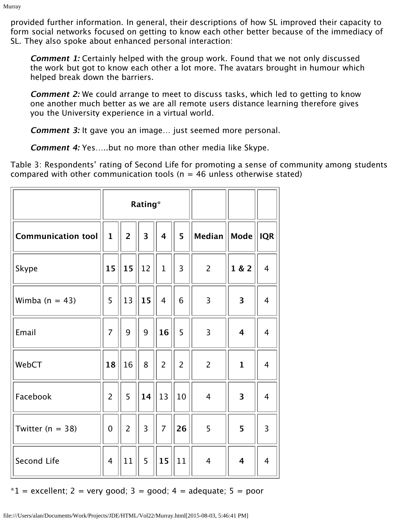provided further information. In general, their descriptions of how SL improved their capacity to form social networks focused on getting to know each other better because of the immediacy of SL. They also spoke about enhanced personal interaction:

**Comment 1:** Certainly helped with the group work. Found that we not only discussed the work but got to know each other a lot more. The avatars brought in humour which helped break down the barriers.

**Comment 2:** We could arrange to meet to discuss tasks, which led to getting to know one another much better as we are all remote users distance learning therefore gives you the University experience in a virtual world.

**Comment 3:** It gave you an image… just seemed more personal.

**Comment 4:** Yes…..but no more than other media like Skype.

Table 3: Respondents' rating of Second Life for promoting a sense of community among students compared with other communication tools ( $n = 46$  unless otherwise stated)

|                      |                |                | Rating*                 |                         |                |                |              |                |
|----------------------|----------------|----------------|-------------------------|-------------------------|----------------|----------------|--------------|----------------|
| Communication tool   | $\mathbf{1}$   | $\overline{2}$ | $\overline{\mathbf{3}}$ | $\overline{\mathbf{4}}$ | 5              | Median         | $ $ Mode $ $ | <b>IQR</b>     |
| Skype                | 15             | 15             | 12                      | $\overline{1}$          | 3              | $\overline{2}$ | 1 & 2        | $\overline{4}$ |
| Wimba $(n = 43)$     | 5              | 13             | 15                      | $\overline{4}$          | 6              | $\overline{3}$ | 3            | $\overline{4}$ |
| Email                | $\overline{7}$ | 9              | 9                       | 16                      | 5              | 3              | 4            | $\overline{4}$ |
| WebCT                | 18             | 16             | 8                       | $\overline{2}$          | $\overline{2}$ | $\overline{2}$ | $\mathbf{1}$ | $\overline{4}$ |
| Facebook             | $\overline{2}$ | 5              | 14                      | 13                      | 10             | $\overline{4}$ | 3            | $\overline{4}$ |
| Twitter ( $n = 38$ ) | $\overline{0}$ | $\overline{2}$ | $\overline{3}$          | $\overline{7}$          | 26             | 5              | 5            | $\overline{3}$ |
| Second Life          | $\overline{4}$ | 11             | 5                       | 15                      | 11             | $\overline{4}$ | 4            | $\overline{4}$ |

 $*1$  = excellent; 2 = very good; 3 = good; 4 = adequate; 5 = poor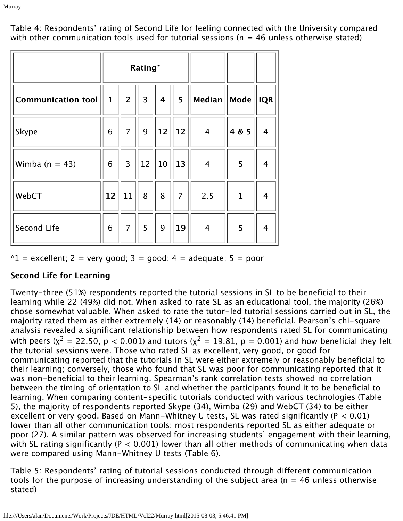Table 4: Respondents' rating of Second Life for feeling connected with the University compared with other communication tools used for tutorial sessions ( $n = 46$  unless otherwise stated)

|                           |              |                | Rating*                 |                         |                |                        |                           |     |
|---------------------------|--------------|----------------|-------------------------|-------------------------|----------------|------------------------|---------------------------|-----|
| <b>Communication tool</b> | $\mathbf{1}$ | $\overline{2}$ | $\overline{\mathbf{3}}$ | $\overline{\mathbf{4}}$ | 5              | $\vert$ Median $\vert$ | $\vert\vert$ Mode $\vert$ | IQR |
| Skype                     | 6            | $\overline{7}$ | 9                       | 12                      | 12             | $\overline{4}$         | 4 & 5                     | 4   |
| Wimba $(n = 43)$          | 6            | $\overline{3}$ | 12                      | $\vert$ 10 $\vert$      | $\vert$ 13     | $\overline{4}$         | 5                         | 4   |
| WebCT                     | 12           | 11             | 8                       | 8                       | $\overline{7}$ | 2.5                    | $\mathbf{1}$              | 4   |
| Second Life               | 6            | $\overline{7}$ | 5                       | 9                       | 19             | $\overline{4}$         | 5                         | 4   |

 $*1$  = excellent; 2 = very good; 3 = good; 4 = adequate; 5 = poor

#### **Second Life for Learning**

Twenty-three (51%) respondents reported the tutorial sessions in SL to be beneficial to their learning while 22 (49%) did not. When asked to rate SL as an educational tool, the majority (26%) chose somewhat valuable. When asked to rate the tutor-led tutorial sessions carried out in SL, the majority rated them as either extremely (14) or reasonably (14) beneficial. Pearson's chi-square analysis revealed a significant relationship between how respondents rated SL for communicating with peers ( $x^2 = 22.50$ ,  $p < 0.001$ ) and tutors ( $x^2 = 19.81$ ,  $p = 0.001$ ) and how beneficial they felt the tutorial sessions were. Those who rated SL as excellent, very good, or good for communicating reported that the tutorials in SL were either extremely or reasonably beneficial to their learning; conversely, those who found that SL was poor for communicating reported that it was non-beneficial to their learning. Spearman's rank correlation tests showed no correlation between the timing of orientation to SL and whether the participants found it to be beneficial to learning. When comparing content-specific tutorials conducted with various technologies (Table 5), the majority of respondents reported Skype (34), Wimba (29) and WebCT (34) to be either excellent or very good. Based on Mann-Whitney U tests, SL was rated significantly (P < 0.01) lower than all other communication tools; most respondents reported SL as either adequate or poor (27). A similar pattern was observed for increasing students' engagement with their learning, with SL rating significantly ( $P < 0.001$ ) lower than all other methods of communicating when data were compared using Mann-Whitney U tests (Table 6).

Table 5: Respondents' rating of tutorial sessions conducted through different communication tools for the purpose of increasing understanding of the subject area ( $n = 46$  unless otherwise stated)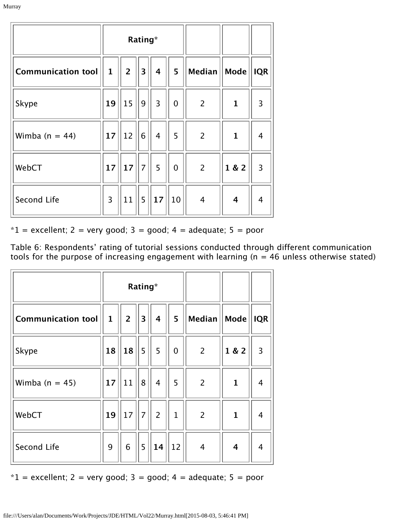|                    |              |             | Rating*                 |                |                |                         |              |                |
|--------------------|--------------|-------------|-------------------------|----------------|----------------|-------------------------|--------------|----------------|
| Communication tool | $\mathbf{1}$ | $2^{\circ}$ | $\overline{\mathbf{3}}$ | 4              | 5 <sup>1</sup> | $\vert$ Median $\vert$  | Mode         | <b>IQR</b>     |
| Skype              | 19           | 15          | 9                       | $\overline{3}$ | $\mathbf 0$    | $\overline{2}$          | $\mathbf{1}$ | 3              |
| Wimba ( $n = 44$ ) | 17           | 12          | 6                       | $\overline{4}$ | 5              | $\overline{2}$          | $\mathbf{1}$ | 4              |
| WebCT              | 17           | 17          | $\vert$ 7 $\vert$       | 5              | $\mathbf 0$    | $\overline{2}$          | 1 & 2        | $\overline{3}$ |
| Second Life        | 3            | 11          | 5 <sup>1</sup>          | 17             | 10             | $\overline{\mathbf{4}}$ | 4            | 4              |

 $*1$  = excellent; 2 = very good; 3 = good; 4 = adequate; 5 = poor

Table 6: Respondents' rating of tutorial sessions conducted through different communication tools for the purpose of increasing engagement with learning ( $n = 46$  unless otherwise stated)

|                    |              |                | Rating*                 |                         |              |                |                         |                |
|--------------------|--------------|----------------|-------------------------|-------------------------|--------------|----------------|-------------------------|----------------|
| Communication tool | $\mathbf{1}$ | $\overline{2}$ | $\overline{\mathbf{3}}$ | $\overline{\mathbf{4}}$ | 5            | Median    Mode |                         | <b>IQR</b>     |
| Skype              | 18           | 18             | $\binom{1}{5}$          | $\vert$ 5               | $\mathbf 0$  | $\overline{2}$ | 1 & 2                   | $\overline{3}$ |
| Wimba $(n = 45)$   | 17           | 11             | 8                       | $\overline{4}$          | 5            | $\overline{2}$ | $\mathbf{1}$            | $\overline{4}$ |
| WebCT              | 19           | 17             | 7                       | $\overline{2}$          | $\mathbf{1}$ | $\overline{2}$ | $\mathbf{1}$            | $\overline{4}$ |
| Second Life        | 9            | $6\phantom{1}$ | 5                       | 14                      | 12           | $\overline{4}$ | $\overline{\mathbf{4}}$ | $\overline{4}$ |

 $*1$  = excellent; 2 = very good; 3 = good; 4 = adequate; 5 = poor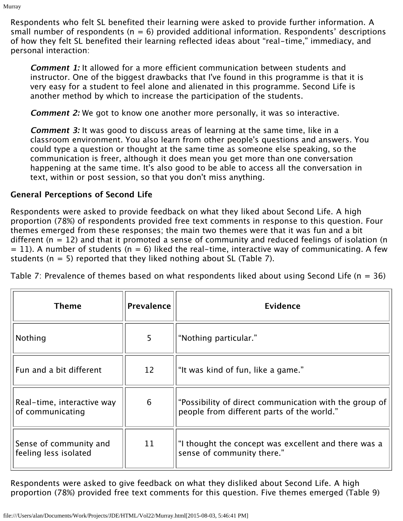Respondents who felt SL benefited their learning were asked to provide further information. A small number of respondents ( $n = 6$ ) provided additional information. Respondents' descriptions of how they felt SL benefited their learning reflected ideas about "real-time," immediacy, and personal interaction:

**Comment 1:** It allowed for a more efficient communication between students and instructor. One of the biggest drawbacks that I've found in this programme is that it is very easy for a student to feel alone and alienated in this programme. Second Life is another method by which to increase the participation of the students.

**Comment 2:** We got to know one another more personally, it was so interactive.

**Comment 3:** It was good to discuss areas of learning at the same time, like in a classroom environment. You also learn from other people's questions and answers. You could type a question or thought at the same time as someone else speaking, so the communication is freer, although it does mean you get more than one conversation happening at the same time. It's also good to be able to access all the conversation in text, within or post session, so that you don't miss anything.

#### **General Perceptions of Second Life**

Respondents were asked to provide feedback on what they liked about Second Life. A high proportion (78%) of respondents provided free text comments in response to this question. Four themes emerged from these responses; the main two themes were that it was fun and a bit different ( $n = 12$ ) and that it promoted a sense of community and reduced feelings of isolation (n  $= 11$ ). A number of students (n = 6) liked the real-time, interactive way of communicating. A few students ( $n = 5$ ) reported that they liked nothing about SL (Table 7).

Table 7: Prevalence of themes based on what respondents liked about using Second Life ( $n = 36$ )

| <b>Theme</b>                                    | <b>Prevalence</b> | Evidence                                                                                             |
|-------------------------------------------------|-------------------|------------------------------------------------------------------------------------------------------|
| Nothing                                         | 5                 | "Nothing particular."                                                                                |
| Fun and a bit different                         | 12                | "It was kind of fun, like a game."                                                                   |
| Real-time, interactive way<br>of communicating  | 6                 | "Possibility of direct communication with the group of<br>people from different parts of the world." |
| Sense of community and<br>feeling less isolated | 11                | "I thought the concept was excellent and there was a<br>sense of community there."                   |

Respondents were asked to give feedback on what they disliked about Second Life. A high proportion (78%) provided free text comments for this question. Five themes emerged (Table 9)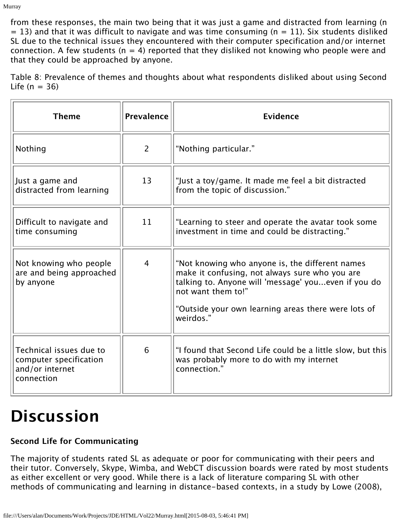from these responses, the main two being that it was just a game and distracted from learning (n  $= 13$ ) and that it was difficult to navigate and was time consuming (n  $= 11$ ). Six students disliked SL due to the technical issues they encountered with their computer specification and/or internet connection. A few students ( $n = 4$ ) reported that they disliked not knowing who people were and that they could be approached by anyone.

Table 8: Prevalence of themes and thoughts about what respondents disliked about using Second Life  $(n = 36)$ 

| <b>Theme</b>                                                                       | Prevalence     | Evidence                                                                                                                                                                                                                                           |
|------------------------------------------------------------------------------------|----------------|----------------------------------------------------------------------------------------------------------------------------------------------------------------------------------------------------------------------------------------------------|
| Nothing                                                                            | 2              | "Nothing particular."                                                                                                                                                                                                                              |
| Just a game and<br>distracted from learning                                        | 13             | "Just a toy/game. It made me feel a bit distracted<br>from the topic of discussion."                                                                                                                                                               |
| Difficult to navigate and<br>time consuming                                        | 11             | "Learning to steer and operate the avatar took some<br>investment in time and could be distracting."                                                                                                                                               |
| Not knowing who people<br>are and being approached<br>by anyone                    | $\overline{4}$ | "Not knowing who anyone is, the different names<br>make it confusing, not always sure who you are<br>talking to. Anyone will 'message' youeven if you do<br>not want them to!"<br>"Outside your own learning areas there were lots of<br>weirdos." |
| Technical issues due to<br>computer specification<br>and/or internet<br>connection | 6              | "I found that Second Life could be a little slow, but this<br>was probably more to do with my internet<br>connection."                                                                                                                             |

### **Discussion**

#### **Second Life for Communicating**

The majority of students rated SL as adequate or poor for communicating with their peers and their tutor. Conversely, Skype, Wimba, and WebCT discussion boards were rated by most students as either excellent or very good. While there is a lack of literature comparing SL with other methods of communicating and learning in distance-based contexts, in a study by Lowe (2008),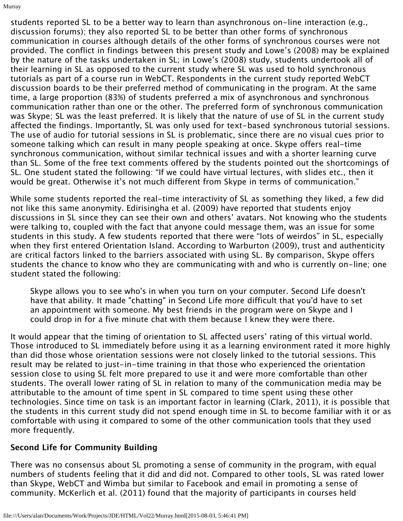students reported SL to be a better way to learn than asynchronous on-line interaction (e.g., discussion forums); they also reported SL to be better than other forms of synchronous communication in courses although details of the other forms of synchronous courses were not provided. The conflict in findings between this present study and Lowe's (2008) may be explained by the nature of the tasks undertaken in SL; in Lowe's (2008) study, students undertook all of their learning in SL as opposed to the current study where SL was used to hold synchronous tutorials as part of a course run in WebCT. Respondents in the current study reported WebCT discussion boards to be their preferred method of communicating in the program. At the same time, a large proportion (83%) of students preferred a mix of asynchronous and synchronous communication rather than one or the other. The preferred form of synchronous communication was Skype; SL was the least preferred. It is likely that the nature of use of SL in the current study affected the findings. Importantly, SL was only used for text-based synchronous tutorial sessions. The use of audio for tutorial sessions in SL is problematic, since there are no visual cues prior to someone talking which can result in many people speaking at once. Skype offers real-time synchronous communication, without similar technical issues and with a shorter learning curve than SL. Some of the free text comments offered by the students pointed out the shortcomings of SL. One student stated the following: "If we could have virtual lectures, with slides etc., then it would be great. Otherwise it's not much different from Skype in terms of communication."

While some students reported the real-time interactivity of SL as something they liked, a few did not like this same anonymity. Edirisingha et al. (2009) have reported that students enjoy discussions in SL since they can see their own and others' avatars. Not knowing who the students were talking to, coupled with the fact that anyone could message them, was an issue for some students in this study. A few students reported that there were "lots of weirdos" in SL, especially when they first entered Orientation Island. According to Warburton (2009), trust and authenticity are critical factors linked to the barriers associated with using SL. By comparison, Skype offers students the chance to know who they are communicating with and who is currently on-line; one student stated the following:

Skype allows you to see who's in when you turn on your computer. Second Life doesn't have that ability. It made "chatting" in Second Life more difficult that you'd have to set an appointment with someone. My best friends in the program were on Skype and I could drop in for a five minute chat with them because I knew they were there.

It would appear that the timing of orientation to SL affected users' rating of this virtual world. Those introduced to SL immediately before using it as a learning environment rated it more highly than did those whose orientation sessions were not closely linked to the tutorial sessions. This result may be related to just-in-time training in that those who experienced the orientation session close to using SL felt more prepared to use it and were more comfortable than other students. The overall lower rating of SL in relation to many of the communication media may be attributable to the amount of time spent in SL compared to time spent using these other technologies. Since time on task is an important factor in learning (Clark, 2011), it is possible that the students in this current study did not spend enough time in SL to become familiar with it or as comfortable with using it compared to some of the other communication tools that they used more frequently.

#### **Second Life for Community Building**

There was no consensus about SL promoting a sense of community in the program, with equal numbers of students feeling that it did and did not. Compared to other tools, SL was rated lower than Skype, WebCT and Wimba but similar to Facebook and email in promoting a sense of community. McKerlich et al. (2011) found that the majority of participants in courses held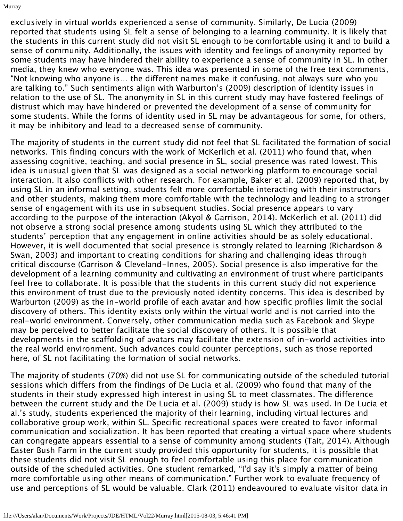exclusively in virtual worlds experienced a sense of community. Similarly, De Lucia (2009) reported that students using SL felt a sense of belonging to a learning community. It is likely that the students in this current study did not visit SL enough to be comfortable using it and to build a sense of community. Additionally, the issues with identity and feelings of anonymity reported by some students may have hindered their ability to experience a sense of community in SL. In other media, they knew who everyone was. This idea was presented in some of the free text comments, "Not knowing who anyone is… the different names make it confusing, not always sure who you are talking to." Such sentiments align with Warburton's (2009) description of identity issues in relation to the use of SL. The anonymity in SL in this current study may have fostered feelings of distrust which may have hindered or prevented the development of a sense of community for some students. While the forms of identity used in SL may be advantageous for some, for others, it may be inhibitory and lead to a decreased sense of community.

The majority of students in the current study did not feel that SL facilitated the formation of social networks. This finding concurs with the work of McKerlich et al. (2011) who found that, when assessing cognitive, teaching, and social presence in SL, social presence was rated lowest. This idea is unusual given that SL was designed as a social networking platform to encourage social interaction. It also conflicts with other research. For example, Baker et al. (2009) reported that, by using SL in an informal setting, students felt more comfortable interacting with their instructors and other students, making them more comfortable with the technology and leading to a stronger sense of engagement with its use in subsequent studies. Social presence appears to vary according to the purpose of the interaction (Akyol & Garrison, 2014). McKerlich et al. (2011) did not observe a strong social presence among students using SL which they attributed to the students' perception that any engagement in online activities should be as solely educational. However, it is well documented that social presence is strongly related to learning (Richardson & Swan, 2003) and important to creating conditions for sharing and challenging ideas through critical discourse (Garrison & Cleveland-Innes, 2005). Social presence is also imperative for the development of a learning community and cultivating an environment of trust where participants feel free to collaborate. It is possible that the students in this current study did not experience this environment of trust due to the previously noted identity concerns. This idea is described by Warburton (2009) as the in-world profile of each avatar and how specific profiles limit the social discovery of others. This identity exists only within the virtual world and is not carried into the real-world environment. Conversely, other communication media such as Facebook and Skype may be perceived to better facilitate the social discovery of others. It is possible that developments in the scaffolding of avatars may facilitate the extension of in-world activities into the real world environment. Such advances could counter perceptions, such as those reported here, of SL not facilitating the formation of social networks.

The majority of students (70%) did not use SL for communicating outside of the scheduled tutorial sessions which differs from the findings of De Lucia et al. (2009) who found that many of the students in their study expressed high interest in using SL to meet classmates. The difference between the current study and the De Lucia et al. (2009) study is how SL was used. In De Lucia et al.'s study, students experienced the majority of their learning, including virtual lectures and collaborative group work, within SL. Specific recreational spaces were created to favor informal communication and socialization. It has been reported that creating a virtual space where students can congregate appears essential to a sense of community among students (Tait, 2014). Although Easter Bush Farm in the current study provided this opportunity for students, it is possible that these students did not visit SL enough to feel comfortable using this place for communication outside of the scheduled activities. One student remarked, "I'd say it's simply a matter of being more comfortable using other means of communication." Further work to evaluate frequency of use and perceptions of SL would be valuable. Clark (2011) endeavoured to evaluate visitor data in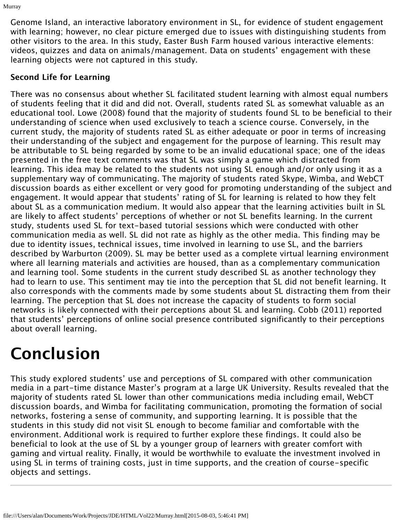Genome Island, an interactive laboratory environment in SL, for evidence of student engagement with learning; however, no clear picture emerged due to issues with distinguishing students from other visitors to the area. In this study, Easter Bush Farm housed various interactive elements: videos, quizzes and data on animals/management. Data on students' engagement with these learning objects were not captured in this study.

#### **Second Life for Learning**

There was no consensus about whether SL facilitated student learning with almost equal numbers of students feeling that it did and did not. Overall, students rated SL as somewhat valuable as an educational tool. Lowe (2008) found that the majority of students found SL to be beneficial to their understanding of science when used exclusively to teach a science course. Conversely, in the current study, the majority of students rated SL as either adequate or poor in terms of increasing their understanding of the subject and engagement for the purpose of learning. This result may be attributable to SL being regarded by some to be an invalid educational space; one of the ideas presented in the free text comments was that SL was simply a game which distracted from learning. This idea may be related to the students not using SL enough and/or only using it as a supplementary way of communicating. The majority of students rated Skype, Wimba, and WebCT discussion boards as either excellent or very good for promoting understanding of the subject and engagement. It would appear that students' rating of SL for learning is related to how they felt about SL as a communication medium. It would also appear that the learning activities built in SL are likely to affect students' perceptions of whether or not SL benefits learning. In the current study, students used SL for text-based tutorial sessions which were conducted with other communication media as well. SL did not rate as highly as the other media. This finding may be due to identity issues, technical issues, time involved in learning to use SL, and the barriers described by Warburton (2009). SL may be better used as a complete virtual learning environment where all learning materials and activities are housed, than as a complementary communication and learning tool. Some students in the current study described SL as another technology they had to learn to use. This sentiment may tie into the perception that SL did not benefit learning. It also corresponds with the comments made by some students about SL distracting them from their learning. The perception that SL does not increase the capacity of students to form social networks is likely connected with their perceptions about SL and learning. Cobb (2011) reported that students' perceptions of online social presence contributed significantly to their perceptions about overall learning.

### **Conclusion**

This study explored students' use and perceptions of SL compared with other communication media in a part-time distance Master's program at a large UK University. Results revealed that the majority of students rated SL lower than other communications media including email, WebCT discussion boards, and Wimba for facilitating communication, promoting the formation of social networks, fostering a sense of community, and supporting learning. It is possible that the students in this study did not visit SL enough to become familiar and comfortable with the environment. Additional work is required to further explore these findings. It could also be beneficial to look at the use of SL by a younger group of learners with greater comfort with gaming and virtual reality. Finally, it would be worthwhile to evaluate the investment involved in using SL in terms of training costs, just in time supports, and the creation of course-specific objects and settings.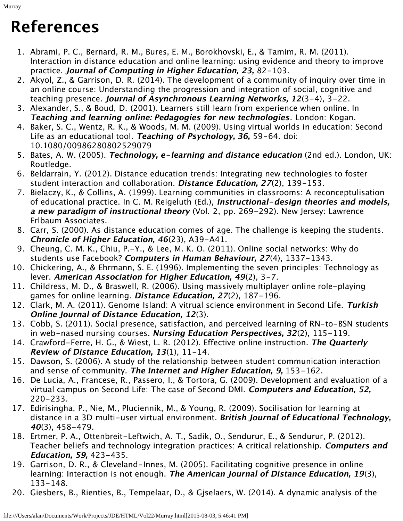### **References**

- 1. Abrami, P. C., Bernard, R. M., Bures, E. M., Borokhovski, E., & Tamim, R. M. (2011). Interaction in distance education and online learning: using evidence and theory to improve practice. **Journal of Computing in Higher Education, 23,** 82-103.
- 2. Akyol, Z., & Garrison, D. R. (2014). The development of a community of inquiry over time in an online course: Understanding the progression and integration of social, cognitive and teaching presence. **Journal of Asynchronous Learning Networks, 12**(3-4), 3-22.
- 3. Alexander, S., & Boud, D. (2001). Learners still learn from experience when online. In **Teaching and learning online: Pedagogies for new technologies**. London: Kogan.
- 4. Baker, S. C., Wentz, R. K., & Woods, M. M. (2009). Using virtual worlds in education: Second Life as an educational tool. **Teaching of Psychology, 36,** 59-64. doi: 10.1080/00986280802529079
- 5. Bates, A. W. (2005). **Technology, e-learning and distance education** (2nd ed.). London, UK: Routledge.
- 6. Beldarrain, Y. (2012). Distance education trends: Integrating new technologies to foster student interaction and collaboration. **Distance Education, 27**(2), 139-153.
- 7. Bielaczy, K., & Collins, A. (1999). Learning communities in classrooms: A reconceptulisation of educational practice. In C. M. Reigeluth (Ed.), **Instructional-design theories and models, a new paradigm of instructional theory** (Vol. 2, pp. 269-292). New Jersey: Lawrence Erlbaum Associates.
- 8. Carr, S. (2000). As distance education comes of age. The challenge is keeping the students. **Chronicle of Higher Education, 46**(23), A39-A41.
- 9. Cheung, C. M. K., Chiu, P.-Y., & Lee, M. K. O. (2011). Online social networks: Why do students use Facebook? **Computers in Human Behaviour, 27**(4), 1337-1343.
- 10. Chickering, A., & Ehrmann, S. E. (1996). Implementing the seven principles: Technology as lever. **American Association for Higher Education, 49**(2), 3-7.
- 11. Childress, M. D., & Braswell, R. (2006). Using massively multiplayer online role-playing games for online learning. **Distance Education, 27**(2), 187-196.
- 12. Clark, M. A. (2011). Genome Island: A vitrual science environment in Second Life. **Turkish Online Journal of Distance Education, 12**(3).
- 13. Cobb, S. (2011). Social presence, satisfaction, and perceived learning of RN-to-BSN students in web-nased nursing courses. **Nursing Education Perspectives, 32**(2), 115-119.
- 14. Crawford-Ferre, H. G., & Wiest, L. R. (2012). Effective online instruction. **The Quarterly Review of Distance Education, 13**(1), 11-14.
- 15. Dawson, S. (2006). A study of the relationship between student communication interaction and sense of community. **The Internet and Higher Education, 9,** 153-162.
- 16. De Lucia, A., Francese, R., Passero, I., & Tortora, G. (2009). Development and evaluation of a virtual campus on Second Life: The case of Second DMI. **Computers and Education, 52,** 220-233.
- 17. Edirisingha, P., Nie, M., Pluciennik, M., & Young, R. (2009). Socilisation for learning at distance in a 3D multi-user virtual environment. **British Journal of Educational Technology, <sup>40</sup>**(3), 458-479.
- 18. Ertmer, P. A., Ottenbreit-Leftwich, A. T., Sadik, O., Sendurur, E., & Sendurur, P. (2012). Teacher beliefs and technology integration practices: A critical relationship. **Computers and Education, 59,** 423-435.
- 19. Garrison, D. R., & Cleveland-Innes, M. (2005). Facilitating cognitive presence in online learning: Interaction is not enough. **The American Journal of Distance Education, 19**(3), 133-148.
- 20. Giesbers, B., Rienties, B., Tempelaar, D., & Gjselaers, W. (2014). A dynamic analysis of the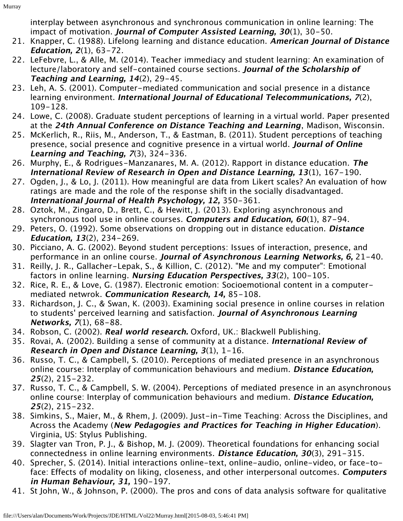interplay between asynchronous and synchronous communication in online learning: The impact of motivation. **Journal of Computer Assisted Learning, 30**(1), 30-50.

- 21. Knapper, C. (1988). Lifelong learning and distance education. **American Journal of Distance Education, 2**(1), 63-72.
- 22. LeFebvre, L., & Alle, M. (2014). Teacher immediacy and student learning: An examination of lecture/laboratory and self-contained course sections. **Journal of the Scholarship of Teaching and Learning, 14**(2), 29-45.
- 23. Leh, A. S. (2001). Computer-mediated communication and social presence in a distance learning environment. **International Journal of Educational Telecommunications, 7**(2), 109-128.
- 24. Lowe, C. (2008). Graduate student perceptions of learning in a virtual world. Paper presented at the **24th Annual Conference on Distance Teaching and Learning**, Madison, Wisconsin.
- 25. McKerlich, R., Riis, M., Anderson, T., & Eastman, B. (2011). Student perceptions of teaching presence, social presence and cognitive presence in a virtual world. **Journal of Online Learning and Teaching, 7**(3), 324-336.
- 26. Murphy, E., & Rodrigues-Manzanares, M. A. (2012). Rapport in distance education. **The International Review of Research in Open and Distance Learning, 13**(1), 167-190.
- 27. Ogden, J., & Lo, J. (2011). How meaningful are data from Likert scales? An evaluation of how ratings are made and the role of the response shift in the socially disadvantaged. **International Journal of Health Psychology, 12,** 350-361.
- 28. Oztok, M., Zingaro, D., Brett, C., & Hewitt, J. (2013). Exploring asynchronous and synchronous tool use in online courses. **Computers and Education, 60**(1), 87-94.
- 29. Peters, O. (1992). Some observations on dropping out in distance education. **Distance Education, 13**(2), 234-269.
- 30. Picciano, A. G. (2002). Beyond student perceptions: Issues of interaction, presence, and performance in an online course. **Journal of Asynchronous Learning Networks, 6,** 21-40.
- 31. Reilly, J. R., Gallacher-Lepak, S., & Killion, C. (2012). "Me and my computer": Emotional factors in online learning. **Nursing Education Perspectives, 33**(2), 100-105.
- 32. Rice, R. E., & Love, G. (1987). Electronic emotion: Socioemotional content in a computermediated netwrok. **Communication Research, 14,** 85-108.
- 33. Richardson, J. C., & Swan, K. (2003). Examining social presence in online courses in relation to students' perceived learning and satisfaction. **Journal of Asynchronous Learning Networks, 7**(1), 68-88.
- 34. Robson, C. (2002). **Real world research.** Oxford, UK.: Blackwell Publishing.
- 35. Rovai, A. (2002). Building a sense of community at a distance. **International Review of Research in Open and Distance Learning, 3**(1), 1-16.
- 36. Russo, T. C., & Campbell, S. (2010). Perceptions of mediated presence in an asynchronous online course: Interplay of communication behaviours and medium. **Distance Education, <sup>25</sup>**(2), 215-232.
- 37. Russo, T. C., & Campbell, S. W. (2004). Perceptions of mediated presence in an asynchronous online course: Interplay of communication behaviours and medium. **Distance Education, <sup>25</sup>**(2), 215-232.
- 38. Simkins, S., Maier, M., & Rhem, J. (2009). Just-in-Time Teaching: Across the Disciplines, and Across the Academy (**New Pedagogies and Practices for Teaching in Higher Education**). Virginia, US: Stylus Publishing.
- 39. Slagter van Tron, P. J., & Bishop, M. J. (2009). Theoretical foundations for enhancing social connectedness in online learning environments. **Distance Education, 30**(3), 291-315.
- 40. Sprecher, S. (2014). Initial interactions online-text, online-audio, online-video, or face-toface: Effects of modality on liking, closeness, and other interpersonal outcomes. **Computers in Human Behaviour, 31,** 190-197.
- 41. St John, W., & Johnson, P. (2000). The pros and cons of data analysis software for qualitative